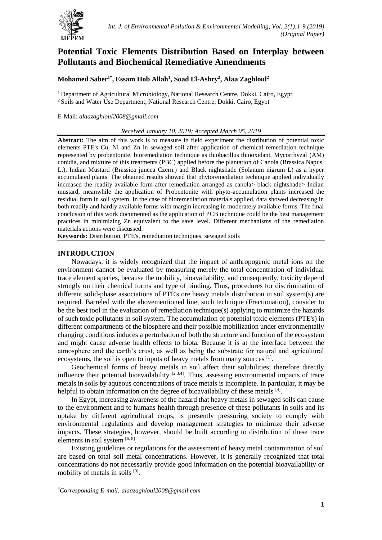

# **Potential Toxic Elements Distribution Based on Interplay between Pollutants and Biochemical Remediative Amendments**

## **Mohamed Saber1\* , Essam Hob Allah<sup>1</sup> , Soad El-Ashry<sup>2</sup> , Alaa Zaghloul<sup>2</sup>**

<sup>1</sup> Department of Agricultural Microbiology, National Research Centre, Dokki, Cairo, Egypt <sup>2</sup> Soils and Water Use Department, National Research Centre, Dokki, Cairo, Egypt

## E-Mail: *alaazaghloul2008@gmail.com*

## *Received January 10, 2019; Accepted March 05, 2019*

**Abstract:** The aim of this work is to measure in field experiment the distribution of potential toxic elements PTE's Cu, Ni and Zn in sewaged soil after application of chemical remediation technique represented by probentonite, bioremediation technique as thiobacillus thiooxidant, Mycorrhyzal (AM) conidia, and mixture of this treatments (PBC) applied before the plantation of Canola (Brassica Napus, L.), Indian Mustard (Brassica juncea Czern.) and Black nightshade (Solanum nigrum L) as a hyper accumulated plants. The obtained results showed that phytoremediation technique applied individually increased the readily available form after remediation arranged as canola> black nightshade> Indian mustard, meanwhile the application of Probentonite with phyto-accumulation plants increased the residual form in soil system. In the case of bioremediation materials applied, data showed decreasing in both readily and hardly available forms with margin increasing in moderately available forms. The final conclusion of this work documented as the application of PCB technique could be the best management practices in minimizing Zn equivalent to the save level. Different mechanisms of the remediation materials actions were discussed.

**Keywords:** Distribution, PTE's, remediation techniques, sewaged soils

## **INTRODUCTION**

Nowadays, it is widely recognized that the impact of anthropogenic metal ions on the environment cannot be evaluated by measuring merely the total concentration of individual trace element species, because the mobility, bioavailability, and consequently, toxicity depend strongly on their chemical forms and type of binding. Thus, procedures for discrimination of different solid-phase associations of PTE's ore heavy metals distribution in soil system(s) are required. Barreled with the abovementioned line, such technique (Fractionation), consider to be the best tool in the evaluation of remediation technique(s) applying to minimize the hazards of such toxic pollutants in soil system. The accumulation of potential toxic elements (PTE's) in different compartments of the biosphere and their possible mobilization under environmentally changing conditions induces a perturbation of both the structure and function of the ecosystem and might cause adverse health effects to biota. Because it is at the interface between the atmosphere and the earth's crust, as well as being the substrate for natural and agricultural ecosystems, the soil is open to inputs of heavy metals from many sources [1].

Geochemical forms of heavy metals in soil affect their solubilities; therefore directly influence their potential bioavailability  $[2,3,4]$ . Thus, assessing environmental impacts of trace metals in soils by aqueous concentrations of trace metals is incomplete. In particular, it may be helpful to obtain information on the degree of bioavailability of these metals  $[4]$ .

In Egypt, increasing awareness of the hazard that heavy metals in sewaged soils can cause to the environment and to humans health through presence of these pollutants in soils and its uptake by different agricultural crops, is presently pressuring society to comply with environmental regulations and develop management strategies to minimize their adverse impacts. These strategies, however, should be built according to distribution of these trace elements in soil system [6, 8].

Existing guidelines or regulations for the assessment of heavy metal contamination of soil are based on total soil metal concentrations. However, it is generally recognized that total concentrations do not necessarily provide good information on the potential bioavailability or mobility of metals in soils <sup>[9]</sup>.

**.** 

<sup>\*</sup>*Corresponding E-mail: alaazaghloul2008@gmail.com*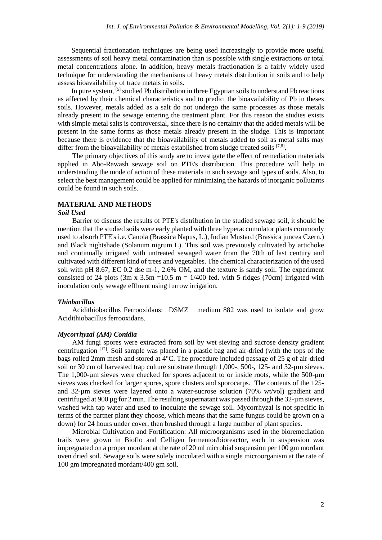Sequential fractionation techniques are being used increasingly to provide more useful assessments of soil heavy metal contamination than is possible with single extractions or total metal concentrations alone. In addition, heavy metals fractionation is a fairly widely used technique for understanding the mechanisms of heavy metals distribution in soils and to help assess bioavailability of trace metals in soils.

In pure system, <sup>[5]</sup> studied Pb distribution in three Egyptian soils to understand Pb reactions as affected by their chemical characteristics and to predict the bioavailability of Pb in theses soils. However, metals added as a salt do not undergo the same processes as those metals already present in the sewage entering the treatment plant. For this reason the studies exists with simple metal salts is controversial, since there is no certainty that the added metals will be present in the same forms as those metals already present in the sludge. This is important because there is evidence that the bioavailability of metals added to soil as metal salts may differ from the bioavailability of metals established from sludge treated soils [7,8].

The primary objectives of this study are to investigate the effect of remediation materials applied in Abo-Rawash sewage soil on PTE's distribution. This procedure will help in understanding the mode of action of these materials in such sewage soil types of soils. Also, to select the best management could be applied for minimizing the hazards of inorganic pollutants could be found in such soils.

## **MATERIAL AND METHODS**

## *Soil Used*

Barrier to discuss the results of PTE's distribution in the studied sewage soil, it should be mention that the studied soils were early planted with three hyperaccumulator plants commonly used to absorb PTE's i.e. Canola (Brassica Napus, L.), Indian Mustard (Brassica juncea Czern.) and Black nightshade (Solanum nigrum L). This soil was previously cultivated by artichoke and continually irrigated with untreated sewaged water from the 70th of last century and cultivated with different kind of trees and vegetables. The chemical characterization of the used soil with pH 8.67, EC 0.2 dse m-1, 2.6% OM, and the texture is sandy soil. The experiment consisted of 24 plots (3m x  $3.5m = 10.5$  m = 1/400 fed. with 5 ridges (70cm) irrigated with inoculation only sewage effluent using furrow irrigation.

#### *Thiobacillus*

Acidithiobacillus Ferrooxidans: DSMZ medium 882 was used to isolate and grow Acidithiobacillus ferrooxidans.

## *Mycorrhyzal (AM) Conidia*

AM fungi spores were extracted from soil by wet sieving and sucrose density gradient centrifugation  $[12]$ . Soil sample was placed in a plastic bag and air-dried (with the tops of the bags rolled 2mm mesh and stored at 4°C. The procedure included passage of 25 g of air-dried soil or 30 cm of harvested trap culture substrate through 1,000-, 500-, 125- and 32-um sieves. The 1,000-µm sieves were checked for spores adjacent to or inside roots, while the 500-µm sieves was checked for larger spores, spore clusters and sporocarps. The contents of the 125 and 32-µm sieves were layered onto a water-sucrose solution (70% wt/vol) gradient and centrifuged at 900 ug for 2 min. The resulting supernatant was passed through the 32-um sieves, washed with tap water and used to inoculate the sewage soil. Mycorrhyzal is not specific in terms of the partner plant they choose, which means that the same fungus could be grown on a down) for 24 hours under cover, then brushed through a large number of plant species.

Microbial Cultivation and Fortification: All microorganisms used in the bioremediation trails were grown in Bioflo and Celligen fermentor/bioreactor, each in suspension was impregnated on a proper mordant at the rate of 20 ml microbial suspension per 100 gm mordant oven dried soil. Sewage soils were solely inoculated with a single microorganism at the rate of 100 gm impregnated mordant/400 gm soil.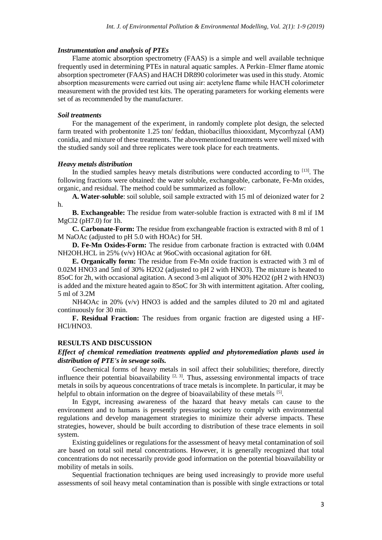#### *Instrumentation and analysis of PTEs*

Flame atomic absorption spectrometry (FAAS) is a simple and well available technique frequently used in determining PTEs in natural aquatic samples. A Perkin–Elmer flame atomic absorption spectrometer (FAAS) and HACH DR890 colorimeter was used in this study. Atomic absorption measurements were carried out using air: acetylene flame while HACH colorimeter measurement with the provided test kits. The operating parameters for working elements were set of as recommended by the manufacturer.

## *Soil treatments*

For the management of the experiment, in randomly complete plot design, the selected farm treated with probentonite 1.25 ton/ feddan, thiobacillus thiooxidant, Mycorrhyzal (AM) conidia, and mixture of these treatments. The abovementioned treatments were well mixed with the studied sandy soil and three replicates were took place for each treatments.

## *Heavy metals distribution*

In the studied samples heavy metals distributions were conducted according to  $[13]$ . The following fractions were obtained: the water soluble, exchangeable, carbonate, Fe-Mn oxides, organic, and residual. The method could be summarized as follow:

**A. Water-soluble**: soil soluble, soil sample extracted with 15 ml of deionized water for 2 h.

**B. Exchangeable:** The residue from water-soluble fraction is extracted with 8 ml if 1M MgCl2 (pH7.0) for 1h.

**C. Carbonate-Form:** The residue from exchangeable fraction is extracted with 8 ml of 1 M NaOAc (adjusted to pH 5.0 with HOAc) for 5H.

**D. Fe-Mn Oxides-Form:** The residue from carbonate fraction is extracted with 0.04M NH2OH.HCL in 25% (v/v) HOAc at 96oCwith occasional agitation for 6H.

**E. Organically form:** The residue from Fe-Mn oxide fraction is extracted with 3 ml of 0.02M HNO3 and 5ml of 30% H2O2 (adjusted to pH 2 with HNO3). The mixture is heated to 85oC for 2h, with occasional agitation. A second 3-ml aliquot of 30% H2O2 (pH 2 with HNO3) is added and the mixture heated again to 85oC for 3h with intermittent agitation. After cooling, 5 ml of 3.2M

NH4OAc in 20%  $(v/v)$  HNO3 is added and the samples diluted to 20 ml and agitated continuously for 30 min.

**F. Residual Fraction:** The residues from organic fraction are digested using a HF-HCl/HNO3.

## **RESULTS AND DISCUSSION**

## *Effect of chemical remediation treatments applied and phytoremediation plants used in distribution of PTE's in sewage soils.*

Geochemical forms of heavy metals in soil affect their solubilities; therefore, directly influence their potential bioavailability  $[2, 3]$ . Thus, assessing environmental impacts of trace metals in soils by aqueous concentrations of trace metals is incomplete. In particular, it may be helpful to obtain information on the degree of bioavailability of these metals [5].

In Egypt, increasing awareness of the hazard that heavy metals can cause to the environment and to humans is presently pressuring society to comply with environmental regulations and develop management strategies to minimize their adverse impacts. These strategies, however, should be built according to distribution of these trace elements in soil system.

Existing guidelines or regulations for the assessment of heavy metal contamination of soil are based on total soil metal concentrations. However, it is generally recognized that total concentrations do not necessarily provide good information on the potential bioavailability or mobility of metals in soils.

Sequential fractionation techniques are being used increasingly to provide more useful assessments of soil heavy metal contamination than is possible with single extractions or total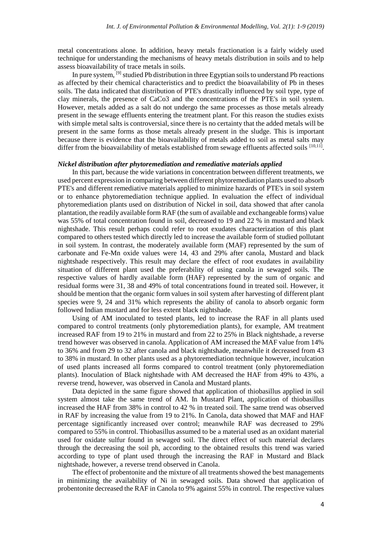metal concentrations alone. In addition, heavy metals fractionation is a fairly widely used technique for understanding the mechanisms of heavy metals distribution in soils and to help assess bioavailability of trace metals in soils.

In pure system,  $^{[9]}$  studied Pb distribution in three Egyptian soils to understand Pb reactions as affected by their chemical characteristics and to predict the bioavailability of Pb in theses soils. The data indicated that distribution of PTE's drastically influenced by soil type, type of clay minerals, the presence of CaCo3 and the concentrations of the PTE's in soil system. However, metals added as a salt do not undergo the same processes as those metals already present in the sewage effluents entering the treatment plant. For this reason the studies exists with simple metal salts is controversial, since there is no certainty that the added metals will be present in the same forms as those metals already present in the sludge. This is important because there is evidence that the bioavailability of metals added to soil as metal salts may differ from the bioavailability of metals established from sewage effluents affected soils [10,11].

## *Nickel distribution after phytoremediation and remediative materials applied*

In this part, because the wide variations in concentration between different treatments, we used percent expression in comparing between different phytoremediation plants used to absorb PTE's and different remediative materials applied to minimize hazards of PTE's in soil system or to enhance phytoremediation technique applied. In evaluation the effect of individual phytoremediation plants used on distribution of Nickel in soil, data showed that after canola plantation, the readily available form RAF (the sum of available and exchangeable forms) value was 55% of total concentration found in soil, decreased to 19 and 22 % in mustard and black nightshade. This result perhaps could refer to root exudates characterization of this plant compared to others tested which directly led to increase the available form of studied pollutant in soil system. In contrast, the moderately available form (MAF) represented by the sum of carbonate and Fe-Mn oxide values were 14, 43 and 29% after canola, Mustard and black nightshade respectively. This result may declare the effect of root exudates in availability situation of different plant used the preferability of using canola in sewaged soils. The respective values of hardly available form (HAF) represented by the sum of organic and residual forms were 31, 38 and 49% of total concentrations found in treated soil. However, it should be mention that the organic form values in soil system after harvesting of different plant species were 9, 24 and 31% which represents the ability of canola to absorb organic form followed Indian mustard and for less extent black nightshade.

Using of AM inoculated to tested plants, led to increase the RAF in all plants used compared to control treatments (only phytoremediation plants), for example, AM treatment increased RAF from 19 to 21% in mustard and from 22 to 25% in Black nightshade, a reverse trend however was observed in canola. Application of AM increased the MAF value from 14% to 36% and from 29 to 32 after canola and black nightshade, meanwhile it decreased from 43 to 38% in mustard. In other plants used as a phytoremediation technique however, inculcation of used plants increased all forms compared to control treatment (only phytoremediation plants). Inoculation of Black nightshade with AM decreased the HAF from 49% to 43%, a reverse trend, however, was observed in Canola and Mustard plants.

Data depicted in the same figure showed that application of thiobasillus applied in soil system almost take the same trend of AM. In Mustard Plant, application of thiobasillus increased the HAF from 38% in control to 42 % in treated soil. The same trend was observed in RAF by increasing the value from 19 to 21%. In Canola, data showed that MAF and HAF percentage significantly increased over control; meanwhile RAF was decreased to 29% compared to 55% in control. Thiobasillus assumed to be a material used as an oxidant material used for oxidate sulfur found in sewaged soil. The direct effect of such material declares through the decreasing the soil ph, according to the obtained results this trend was varied according to type of plant used through the increasing the RAF in Mustard and Black nightshade, however, a reverse trend observed in Canola.

The effect of probentonite and the mixture of all treatments showed the best managements in minimizing the availability of Ni in sewaged soils. Data showed that application of probentonite decreased the RAF in Canola to 9% against 55% in control. The respective values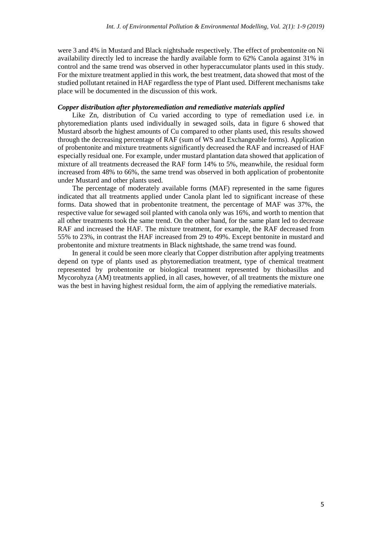were 3 and 4% in Mustard and Black nightshade respectively. The effect of probentonite on Ni availability directly led to increase the hardly available form to 62% Canola against 31% in control and the same trend was observed in other hyperaccumulator plants used in this study. For the mixture treatment applied in this work, the best treatment, data showed that most of the studied pollutant retained in HAF regardless the type of Plant used. Different mechanisms take place will be documented in the discussion of this work.

## *Copper distribution after phytoremediation and remediative materials applied*

Like Zn, distribution of Cu varied according to type of remediation used i.e. in phytoremediation plants used individually in sewaged soils, data in figure 6 showed that Mustard absorb the highest amounts of Cu compared to other plants used, this results showed through the decreasing percentage of RAF (sum of WS and Exchangeable forms). Application of probentonite and mixture treatments significantly decreased the RAF and increased of HAF especially residual one. For example, under mustard plantation data showed that application of mixture of all treatments decreased the RAF form 14% to 5%, meanwhile, the residual form increased from 48% to 66%, the same trend was observed in both application of probentonite under Mustard and other plants used.

The percentage of moderately available forms (MAF) represented in the same figures indicated that all treatments applied under Canola plant led to significant increase of these forms. Data showed that in probentonite treatment, the percentage of MAF was 37%, the respective value for sewaged soil planted with canola only was 16%, and worth to mention that all other treatments took the same trend. On the other hand, for the same plant led to decrease RAF and increased the HAF. The mixture treatment, for example, the RAF decreased from 55% to 23%, in contrast the HAF increased from 29 to 49%. Except bentonite in mustard and probentonite and mixture treatments in Black nightshade, the same trend was found.

In general it could be seen more clearly that Copper distribution after applying treatments depend on type of plants used as phytoremediation treatment, type of chemical treatment represented by probentonite or biological treatment represented by thiobasillus and Mycorohyza (AM) treatments applied, in all cases, however, of all treatments the mixture one was the best in having highest residual form, the aim of applying the remediative materials.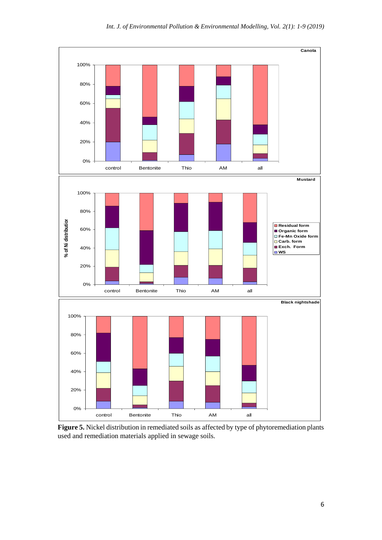

**Figure 5.** Nickel distribution in remediated soils as affected by type of phytoremediation plants used and remediation materials applied in sewage soils.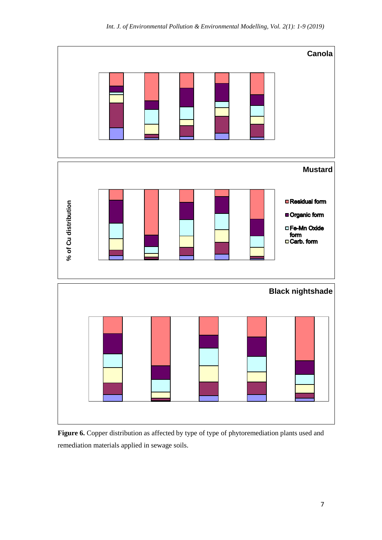

**Figure 6.** Copper distribution as affected by type of type of phytoremediation plants used and remediation materials applied in sewage soils.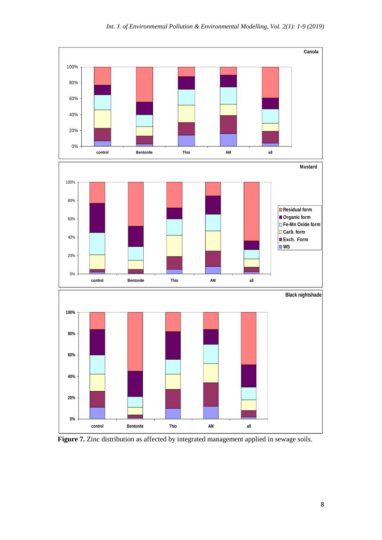

Figure 7. Zinc distribution as affected by integrated management applied in sewage soils.